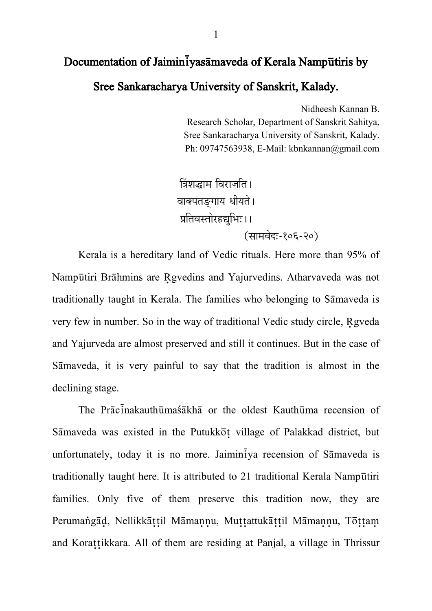## Documentation of Jaiminiyasamaveda of Kerala Namputiris by

Sree Sankaracharya University of Sanskrit, Kalady.

Nidheesh Kannan B. Research Scholar, Department of Sanskrit Sahitva. Sree Sankaracharya University of Sanskrit, Kalady. Ph: 09747563938, E-Mail: kbnkannan@gmail.com

त्रिंशद्धाम विराजति। वाक्पतङ्गाय धीयते । प्रतिवस्तोरहद्यभिः ।। (सामवेद:-१०६-२०)

Kerala is a hereditary land of Vedic rituals. Here more than 95% of Nampūtiri Brāhmins are Rgvedins and Yajurvedins. Atharvaveda was not traditionally taught in Kerala. The families who belonging to Samaveda is very few in number. So in the way of traditional Vedic study circle, Rgveda and Yajurveda are almost preserved and still it continues. But in the case of Sāmaveda, it is very painful to say that the tradition is almost in the declining stage.

The Pracinakauthumassakha or the oldest Kauthuma recension of Sāmaveda was existed in the Putukkot village of Palakkad district, but unfortunately, today it is no more. Jaiminiya recension of Sāmaveda is traditionally taught here. It is attributed to 21 traditional Kerala Namputiri families. Only five of them preserve this tradition now, they are Perumangād, Nellikkāttil Māmannu, Muttattukāttil Māmannu, Tōttam and Korattikkara. All of them are residing at Panjal, a village in Thrissur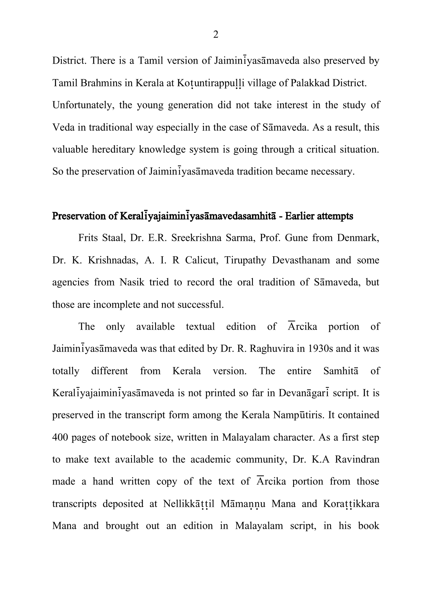District. There is a Tamil version of Jaimin $\overline{i}$ yas $\overline{a}$ maveda also preserved by Tamil Brahmins in Kerala at Kotuntirappulli village of Palakkad District. Unfortunately, the young generation did not take interest in the study of Veda in traditional way especially in the case of Samaveda. As a result, this valuable hereditary knowledge system is going through a critical situation. So the preservation of Jaimin<sup>t</sup>yasamaveda tradition became necessary.

#### Preservation of Keraliyajaimin yasamavedasamhita - Earlier attempts

Frits Staal, Dr. E.R. Sreekrishna Sarma, Prof. Gune from Denmark, Dr. K. Krishnadas, A. I. R Calicut, Tirupathy Devasthanam and some agencies from Nasik tried to record the oral tradition of Samaveda, but those are incomplete and not successful.

The only available textual edition of  $\overline{A}$ rcika portion of Jaiminiyasamaveda was that edited by Dr. R. Raghuvira in 1930s and it was totally different from Kerala version. The entire Samhita of Keral $\bar{i}$ yajaimin $\bar{i}$ yas $\bar{i}$ maveda is not printed so far in Devan $\bar{i}$ gar $\bar{i}$  script. It is preserved in the transcript form among the Kerala Namp£tiris. It contained 400 pages of notebook size, written in Malayalam character. As a first step to make text available to the academic community, Dr. K.A Ravindran made a hand written copy of the text of  $\overline{A}$ rcika portion from those transcripts deposited at Nellikkattil Mamannu Mana and Korattikkara Mana and brought out an edition in Malayalam script, in his book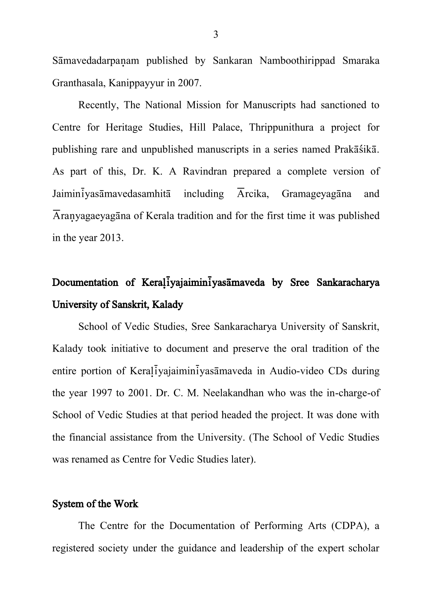Sāmavedadarpanam published by Sankaran Namboothirippad Smaraka Granthasala, Kanippayyur in 2007.

Recently, The National Mission for Manuscripts had sanctioned to Centre for Heritage Studies, Hill Palace, Thrippunithura a project for publishing rare and unpublished manuscripts in a series named Prakā sikā. As part of this, Dr. K. A Ravindran prepared a complete version of Jaimin $\overline{i}$ yas $\overline{a}$ mavedasamhit $\overline{a}$  including  $\overline{A}$ rcika, Gramageyag $\overline{a}$ na and Aranyagaeyagana of Kerala tradition and for the first time it was published in the year 2013.

# Documentation of Keraliyajaimin<sup>i</sup>yasamaveda by Sree Sankaracharya University of Sanskrit, Kalady

School of Vedic Studies, Sree Sankaracharya University of Sanskrit, Kalady took initiative to document and preserve the oral tradition of the entire portion of Keraliyajaiminiyasamaveda in Audio-video CDs during the year 1997 to 2001. Dr. C. M. Neelakandhan who was the in-charge-of School of Vedic Studies at that period headed the project. It was done with the financial assistance from the University. (The School of Vedic Studies was renamed as Centre for Vedic Studies later).

#### System of the Work

The Centre for the Documentation of Performing Arts (CDPA), a registered society under the guidance and leadership of the expert scholar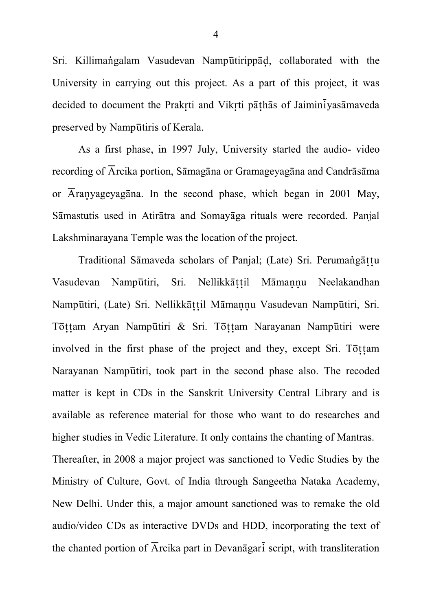Sri. Killimangalam Vasudevan Nampūtirippād, collaborated with the University in carrying out this project. As a part of this project, it was decided to document the Prakrti and Vikrti pāthās of Jaimin $\overline{i}$ yasāmaveda preserved by Nampūtiris of Kerala.

As a first phase, in 1997 July, University started the audio- video recording of  $\overline{A}$ rcika portion, Sāmagāna or Gramageyagāna and Candrāsāma or  $\overline{A}$ ranyageyagana. In the second phase, which began in 2001 May, Sāmastutis used in Atirātra and Somayāga rituals were recorded. Panjal Lakshminarayana Temple was the location of the project.

Traditional Sāmaveda scholars of Panjal; (Late) Sri. Perumangāttu Vasudevan Nampūtiri, Sri. Nellikkāttil Māmannu Neelakandhan Nampūtiri, (Late) Sri. Nellikkāt til Māmannu Vasudevan Nampūtiri, Sri. Tōttam Aryan Nampūtiri & Sri. Tōttam Narayanan Nampūtiri were involved in the first phase of the project and they, except Sri. Tottam Narayanan Nampūtiri, took part in the second phase also. The recoded matter is kept in CDs in the Sanskrit University Central Library and is available as reference material for those who want to do researches and higher studies in Vedic Literature. It only contains the chanting of Mantras.

Thereafter, in 2008 a major project was sanctioned to Vedic Studies by the Ministry of Culture, Govt. of India through Sangeetha Nataka Academy, New Delhi. Under this, a major amount sanctioned was to remake the old audio/video CDs as interactive DVDs and HDD, incorporating the text of the chanted portion of  $\overline{A}$ rcika part in Devan $\overline{a}$ gar $\overline{i}$  script, with transliteration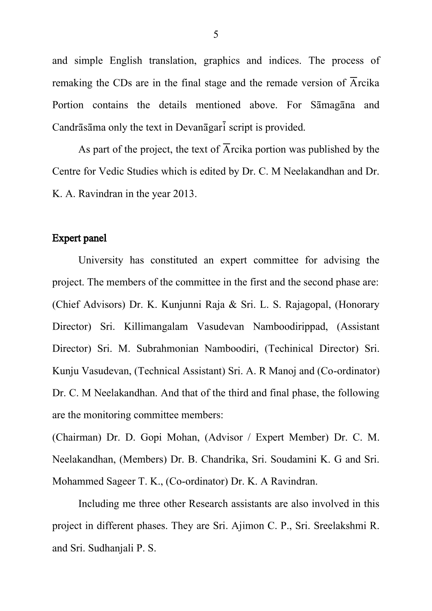and simple English translation, graphics and indices. The process of remaking the CDs are in the final stage and the remade version of  $\overline{A}$ rcika Portion contains the details mentioned above. For Samagana and Candr $\bar{a}$ sama only the text in Devan $\bar{a}$ gar $\bar{i}$  script is provided.

As part of the project, the text of  $\overline{A}$  rcika portion was published by the Centre for Vedic Studies which is edited by Dr. C. M Neelakandhan and Dr. K. A. Ravindran in the year 2013.

### Expert panel

University has constituted an expert committee for advising the project. The members of the committee in the first and the second phase are: (Chief Advisors) Dr. K. Kunjunni Raja & Sri. L. S. Rajagopal, (Honorary Director) Sri. Killimangalam Vasudevan Namboodirippad, (Assistant Director) Sri. M. Subrahmonian Namboodiri, (Techinical Director) Sri. Kunju Vasudevan, (Technical Assistant) Sri. A. R Manoj and (Co-ordinator) Dr. C. M Neelakandhan. And that of the third and final phase, the following are the monitoring committee members:

(Chairman) Dr. D. Gopi Mohan, (Advisor / Expert Member) Dr. C. M. Neelakandhan, (Members) Dr. B. Chandrika, Sri. Soudamini K. G and Sri. Mohammed Sageer T. K., (Co-ordinator) Dr. K. A Ravindran.

Including me three other Research assistants are also involved in this project in different phases. They are Sri. Ajimon C. P., Sri. Sreelakshmi R. and Sri. Sudhanjali P. S.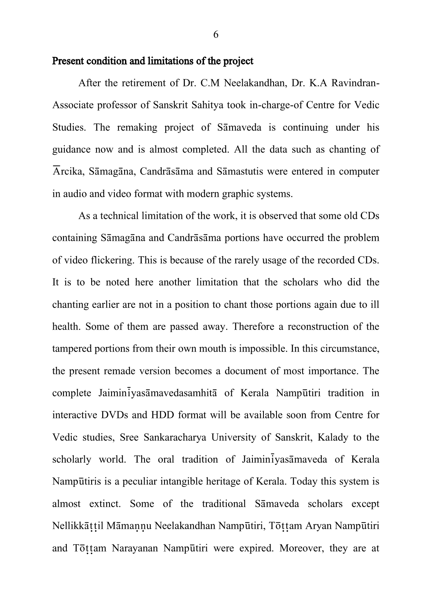#### Present condition and limitations of the project

After the retirement of Dr. C.M Neelakandhan, Dr. K.A Ravindran-Associate professor of Sanskrit Sahitya took in-charge-of Centre for Vedic Studies. The remaking project of Samaveda is continuing under his guidance now and is almost completed. All the data such as chanting of  $\overline{A}$ rcika, Sāmagāna, Candrāsāma and Sāmastutis were entered in computer in audio and video format with modern graphic systems.

As a technical limitation of the work, it is observed that some old CDs containing Sāmagāna and Candrāsāma portions have occurred the problem of video flickering. This is because of the rarely usage of the recorded CDs. It is to be noted here another limitation that the scholars who did the chanting earlier are not in a position to chant those portions again due to ill health. Some of them are passed away. Therefore a reconstruction of the tampered portions from their own mouth is impossible. In this circumstance, the present remade version becomes a document of most importance. The complete Jaiminiyasamavedasamhita of Kerala Nampūtiri tradition in interactive DVDs and HDD format will be available soon from Centre for Vedic studies, Sree Sankaracharya University of Sanskrit, Kalady to the scholarly world. The oral tradition of Jaimin vasamaveda of Kerala Namp£tiris is a peculiar intangible heritage of Kerala. Today this system is almost extinct. Some of the traditional Samaveda scholars except Nellikkāttil Māmannu Neelakandhan Nampūtiri, Tōttam Aryan Nampūtiri and Tottam Narayanan Nampūtiri were expired. Moreover, they are at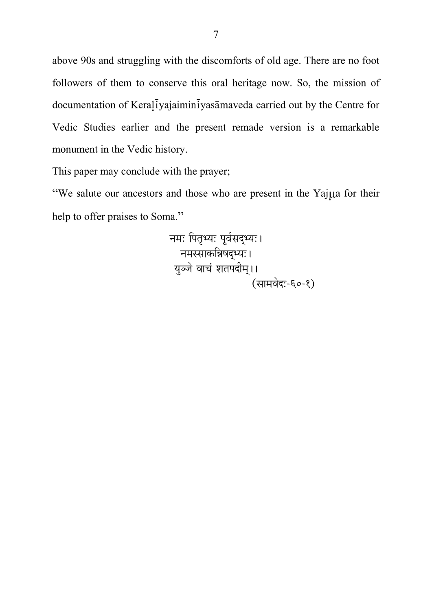above 90s and struggling with the discomforts of old age. There are no foot followers of them to conserve this oral heritage now. So, the mission of documentation of Keraļiyajaiminiyasāmaveda carried out by the Centre for Vedic Studies earlier and the present remade version is a remarkable monument in the Vedic history.

This paper may conclude with the prayer;

"We salute our ancestors and those who are present in the Yajua for their help to offer praises to Soma."

> नमः पितृभ्यः पूर्वसद्भ्यः। नमस्साकत्रिषद्भ्यः। युञ्जे वाचं शतपदीम् ।। .<br>(सामवेद:-६०-१)